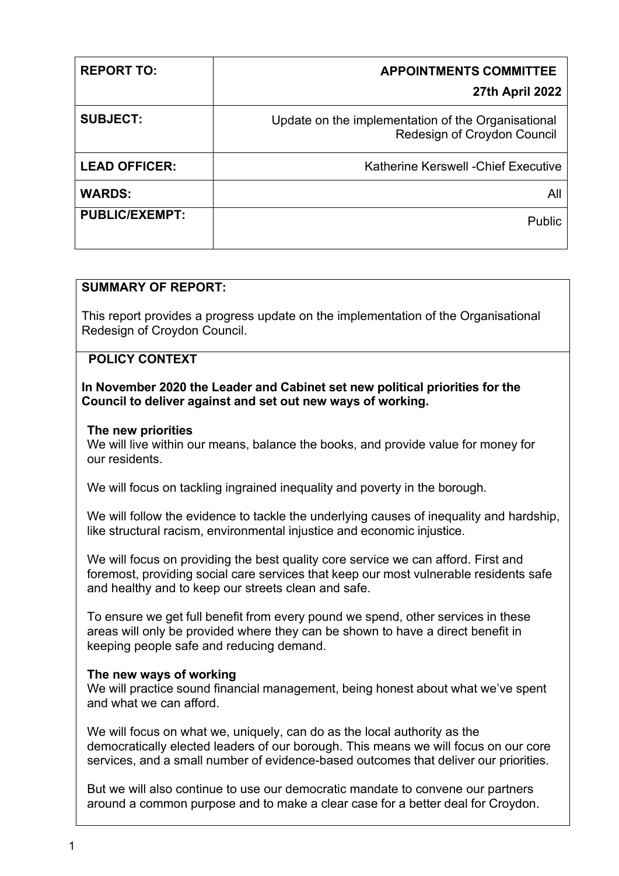| <b>REPORT TO:</b>     | <b>APPOINTMENTS COMMITTEE</b>                                                     |
|-----------------------|-----------------------------------------------------------------------------------|
|                       | <b>27th April 2022</b>                                                            |
| <b>SUBJECT:</b>       | Update on the implementation of the Organisational<br>Redesign of Croydon Council |
| <b>LEAD OFFICER:</b>  | <b>Katherine Kerswell - Chief Executive</b>                                       |
| <b>WARDS:</b>         | All                                                                               |
| <b>PUBLIC/EXEMPT:</b> | <b>Public</b>                                                                     |
|                       |                                                                                   |

# **SUMMARY OF REPORT:**

This report provides a progress update on the implementation of the Organisational Redesign of Croydon Council.

### **POLICY CONTEXT**

#### **In November 2020 the Leader and Cabinet set new political priorities for the Council to deliver against and set out new ways of working.**

#### **The new priorities**

We will live within our means, balance the books, and provide value for money for our residents.

We will focus on tackling ingrained inequality and poverty in the borough.

We will follow the evidence to tackle the underlying causes of inequality and hardship, like structural racism, environmental injustice and economic injustice.

We will focus on providing the best quality core service we can afford. First and foremost, providing social care services that keep our most vulnerable residents safe and healthy and to keep our streets clean and safe.

To ensure we get full benefit from every pound we spend, other services in these areas will only be provided where they can be shown to have a direct benefit in keeping people safe and reducing demand.

#### **The new ways of working**

We will practice sound financial management, being honest about what we've spent and what we can afford.

We will focus on what we, uniquely, can do as the local authority as the democratically elected leaders of our borough. This means we will focus on our core services, and a small number of evidence-based outcomes that deliver our priorities.

But we will also continue to use our democratic mandate to convene our partners around a common purpose and to make a clear case for a better deal for Croydon.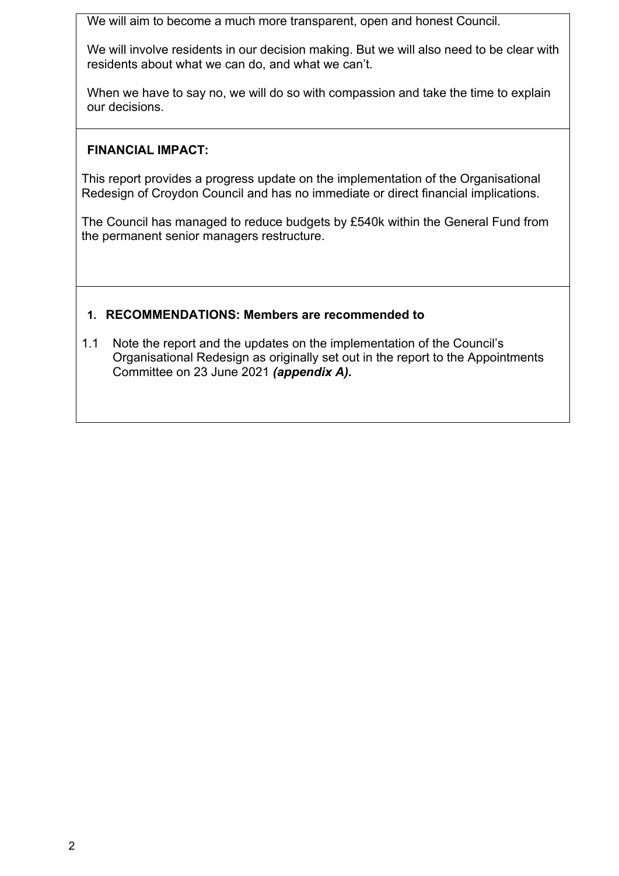We will aim to become a much more transparent, open and honest Council.

We will involve residents in our decision making. But we will also need to be clear with residents about what we can do, and what we can't.

When we have to say no, we will do so with compassion and take the time to explain our decisions.

### **FINANCIAL IMPACT:**

This report provides a progress update on the implementation of the Organisational Redesign of Croydon Council and has no immediate or direct financial implications.

The Council has managed to reduce budgets by £540k within the General Fund from the permanent senior managers restructure.

### **1. RECOMMENDATIONS: Members are recommended to**

1.1 Note the report and the updates on the implementation of the Council's Organisational Redesign as originally set out in the report to the Appointments Committee on 23 June 2021 *(appendix A).*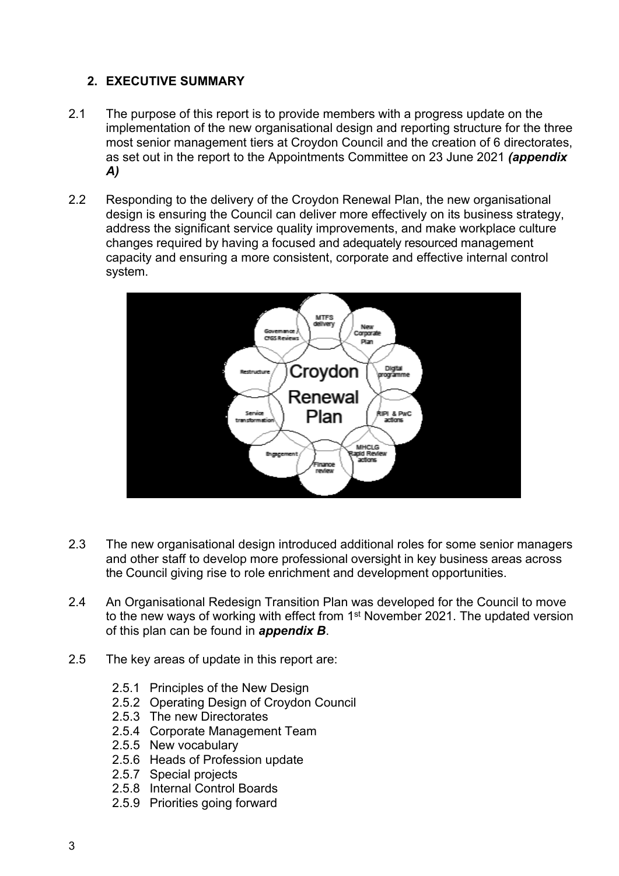# **2. EXECUTIVE SUMMARY**

- 2.1 The purpose of this report is to provide members with a progress update on the implementation of the new organisational design and reporting structure for the three most senior management tiers at Croydon Council and the creation of 6 directorates, as set out in the report to the Appointments Committee on 23 June 2021 *(appendix A)*
- 2.2 Responding to the delivery of the Croydon Renewal Plan, the new organisational design is ensuring the Council can deliver more effectively on its business strategy, address the significant service quality improvements, and make workplace culture changes required by having a focused and adequately resourced management capacity and ensuring a more consistent, corporate and effective internal control system.



- 2.3 The new organisational design introduced additional roles for some senior managers and other staff to develop more professional oversight in key business areas across the Council giving rise to role enrichment and development opportunities.
- 2.4 An Organisational Redesign Transition Plan was developed for the Council to move to the new ways of working with effect from 1<sup>st</sup> November 2021. The updated version of this plan can be found in *appendix B*.
- 2.5 The key areas of update in this report are:
	- 2.5.1 Principles of the New Design
	- 2.5.2 Operating Design of Croydon Council
	- 2.5.3 The new Directorates
	- 2.5.4 Corporate Management Team
	- 2.5.5 New vocabulary
	- 2.5.6 Heads of Profession update
	- 2.5.7 Special projects
	- 2.5.8 Internal Control Boards
	- 2.5.9 Priorities going forward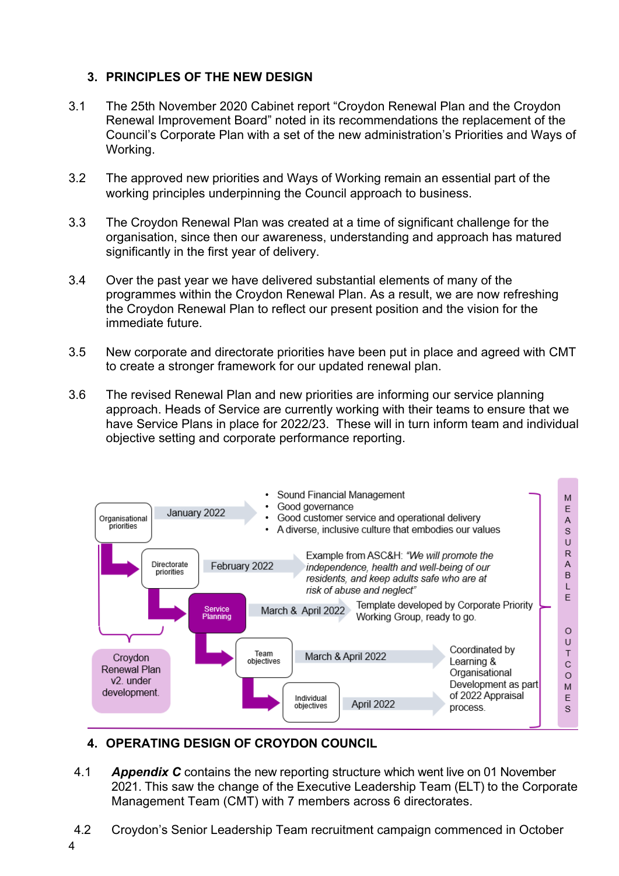### **3. PRINCIPLES OF THE NEW DESIGN**

- 3.1 The 25th November 2020 Cabinet report "Croydon Renewal Plan and the Croydon Renewal Improvement Board" noted in its recommendations the replacement of the Council's Corporate Plan with a set of the new administration's Priorities and Ways of Working.
- 3.2 The approved new priorities and Ways of Working remain an essential part of the working principles underpinning the Council approach to business.
- 3.3 The Croydon Renewal Plan was created at a time of significant challenge for the organisation, since then our awareness, understanding and approach has matured significantly in the first year of delivery.
- 3.4 Over the past year we have delivered substantial elements of many of the programmes within the Croydon Renewal Plan. As a result, we are now refreshing the Croydon Renewal Plan to reflect our present position and the vision for the immediate future.
- 3.5 New corporate and directorate priorities have been put in place and agreed with CMT to create a stronger framework for our updated renewal plan.
- 3.6 The revised Renewal Plan and new priorities are informing our service planning approach. Heads of Service are currently working with their teams to ensure that we have Service Plans in place for 2022/23. These will in turn inform team and individual objective setting and corporate performance reporting.



# **4. OPERATING DESIGN OF CROYDON COUNCIL**

- 4.1 *Appendix C* contains the new reporting structure which went live on 01 November 2021. This saw the change of the Executive Leadership Team (ELT) to the Corporate Management Team (CMT) with 7 members across 6 directorates.
- 4.2 Croydon's Senior Leadership Team recruitment campaign commenced in October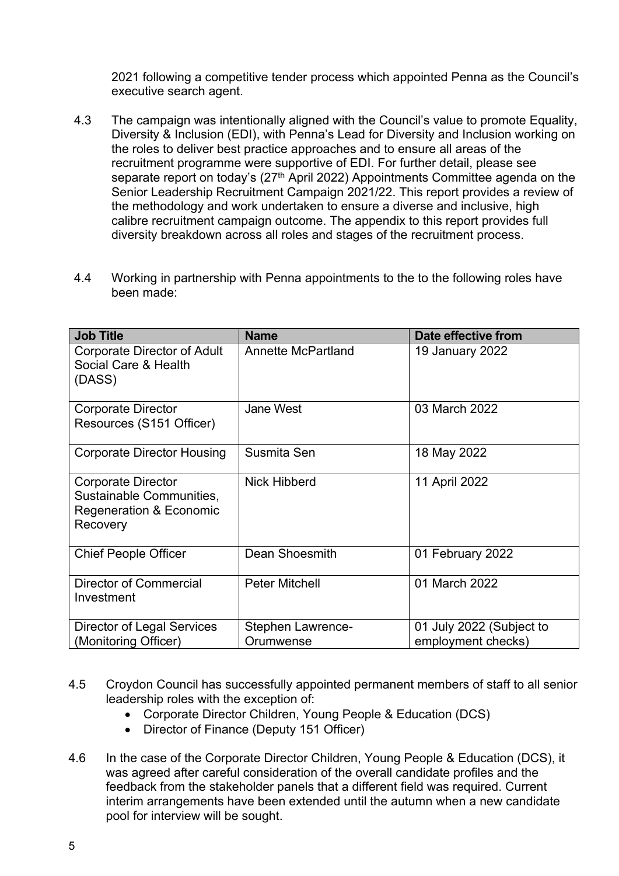2021 following a competitive tender process which appointed Penna as the Council's executive search agent.

- 4.3 The campaign was intentionally aligned with the Council's value to promote Equality, Diversity & Inclusion (EDI), with Penna's Lead for Diversity and Inclusion working on the roles to deliver best practice approaches and to ensure all areas of the recruitment programme were supportive of EDI. For further detail, please see separate report on today's (27<sup>th</sup> April 2022) Appointments Committee agenda on the Senior Leadership Recruitment Campaign 2021/22. This report provides a review of the methodology and work undertaken to ensure a diverse and inclusive, high calibre recruitment campaign outcome. The appendix to this report provides full diversity breakdown across all roles and stages of the recruitment process.
- 4.4 Working in partnership with Penna appointments to the to the following roles have been made:

| <b>Job Title</b>                                                                                        | <b>Name</b>               | Date effective from      |
|---------------------------------------------------------------------------------------------------------|---------------------------|--------------------------|
| <b>Corporate Director of Adult</b><br>Social Care & Health<br>(DASS)                                    | <b>Annette McPartland</b> | 19 January 2022          |
| <b>Corporate Director</b><br>Resources (S151 Officer)                                                   | <b>Jane West</b>          | 03 March 2022            |
| <b>Corporate Director Housing</b>                                                                       | Susmita Sen               | 18 May 2022              |
| <b>Corporate Director</b><br>Sustainable Communities,<br><b>Regeneration &amp; Economic</b><br>Recovery | Nick Hibberd              | 11 April 2022            |
| <b>Chief People Officer</b>                                                                             | Dean Shoesmith            | 01 February 2022         |
| <b>Director of Commercial</b><br>Investment                                                             | <b>Peter Mitchell</b>     | 01 March 2022            |
| Director of Legal Services                                                                              | Stephen Lawrence-         | 01 July 2022 (Subject to |
| (Monitoring Officer)                                                                                    | Orumwense                 | employment checks)       |

- 4.5 Croydon Council has successfully appointed permanent members of staff to all senior leadership roles with the exception of:
	- Corporate Director Children, Young People & Education (DCS)
	- Director of Finance (Deputy 151 Officer)
- 4.6 In the case of the Corporate Director Children, Young People & Education (DCS), it was agreed after careful consideration of the overall candidate profiles and the feedback from the stakeholder panels that a different field was required. Current interim arrangements have been extended until the autumn when a new candidate pool for interview will be sought.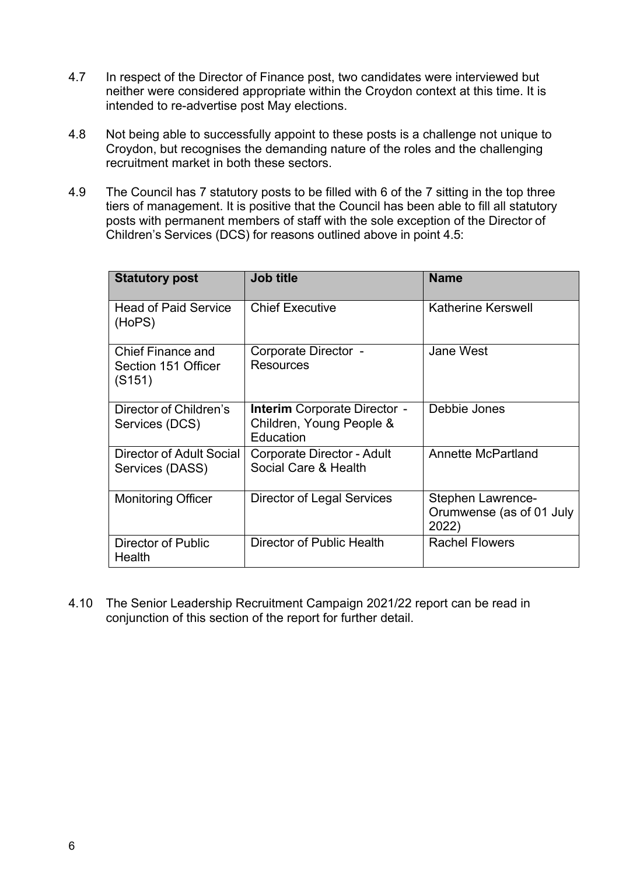- 4.7 In respect of the Director of Finance post, two candidates were interviewed but neither were considered appropriate within the Croydon context at this time. It is intended to re-advertise post May elections.
- 4.8 Not being able to successfully appoint to these posts is a challenge not unique to Croydon, but recognises the demanding nature of the roles and the challenging recruitment market in both these sectors.
- 4.9 The Council has 7 statutory posts to be filled with 6 of the 7 sitting in the top three tiers of management. It is positive that the Council has been able to fill all statutory posts with permanent members of staff with the sole exception of the Director of Children's Services (DCS) for reasons outlined above in point 4.5:

| <b>Statutory post</b>                                     | <b>Job title</b>                                                             | <b>Name</b>                                                   |
|-----------------------------------------------------------|------------------------------------------------------------------------------|---------------------------------------------------------------|
| <b>Head of Paid Service</b><br>(HoPS)                     | <b>Chief Executive</b>                                                       | <b>Katherine Kerswell</b>                                     |
| <b>Chief Finance and</b><br>Section 151 Officer<br>(S151) | Corporate Director -<br>Resources                                            | <b>Jane West</b>                                              |
| Director of Children's<br>Services (DCS)                  | <b>Interim</b> Corporate Director -<br>Children, Young People &<br>Education | Debbie Jones                                                  |
| Director of Adult Social<br>Services (DASS)               | Corporate Director - Adult<br>Social Care & Health                           | Annette McPartland                                            |
| <b>Monitoring Officer</b>                                 | Director of Legal Services                                                   | <b>Stephen Lawrence-</b><br>Orumwense (as of 01 July<br>2022) |
| Director of Public<br>Health                              | Director of Public Health                                                    | <b>Rachel Flowers</b>                                         |

4.10 The Senior Leadership Recruitment Campaign 2021/22 report can be read in conjunction of this section of the report for further detail.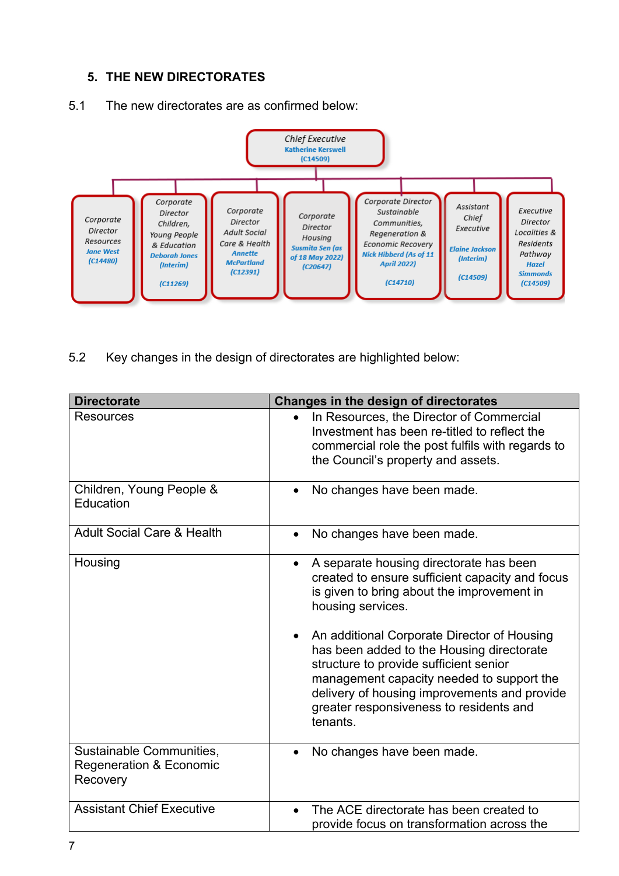# **5. THE NEW DIRECTORATES**



#### 5.1 The new directorates are as confirmed below:

5.2 Key changes in the design of directorates are highlighted below:

| <b>Directorate</b>                                                         | Changes in the design of directorates                                                                                                                                                                                                                                                                                                                                                                                                                                |  |
|----------------------------------------------------------------------------|----------------------------------------------------------------------------------------------------------------------------------------------------------------------------------------------------------------------------------------------------------------------------------------------------------------------------------------------------------------------------------------------------------------------------------------------------------------------|--|
| Resources                                                                  | In Resources, the Director of Commercial<br>Investment has been re-titled to reflect the<br>commercial role the post fulfils with regards to<br>the Council's property and assets.                                                                                                                                                                                                                                                                                   |  |
| Children, Young People &<br>Education                                      | No changes have been made.                                                                                                                                                                                                                                                                                                                                                                                                                                           |  |
| <b>Adult Social Care &amp; Health</b>                                      | No changes have been made.<br>$\bullet$                                                                                                                                                                                                                                                                                                                                                                                                                              |  |
| Housing                                                                    | A separate housing directorate has been<br>$\bullet$<br>created to ensure sufficient capacity and focus<br>is given to bring about the improvement in<br>housing services.<br>An additional Corporate Director of Housing<br>has been added to the Housing directorate<br>structure to provide sufficient senior<br>management capacity needed to support the<br>delivery of housing improvements and provide<br>greater responsiveness to residents and<br>tenants. |  |
| Sustainable Communities,<br><b>Regeneration &amp; Economic</b><br>Recovery | No changes have been made.<br>$\bullet$                                                                                                                                                                                                                                                                                                                                                                                                                              |  |
| <b>Assistant Chief Executive</b>                                           | The ACE directorate has been created to<br>provide focus on transformation across the                                                                                                                                                                                                                                                                                                                                                                                |  |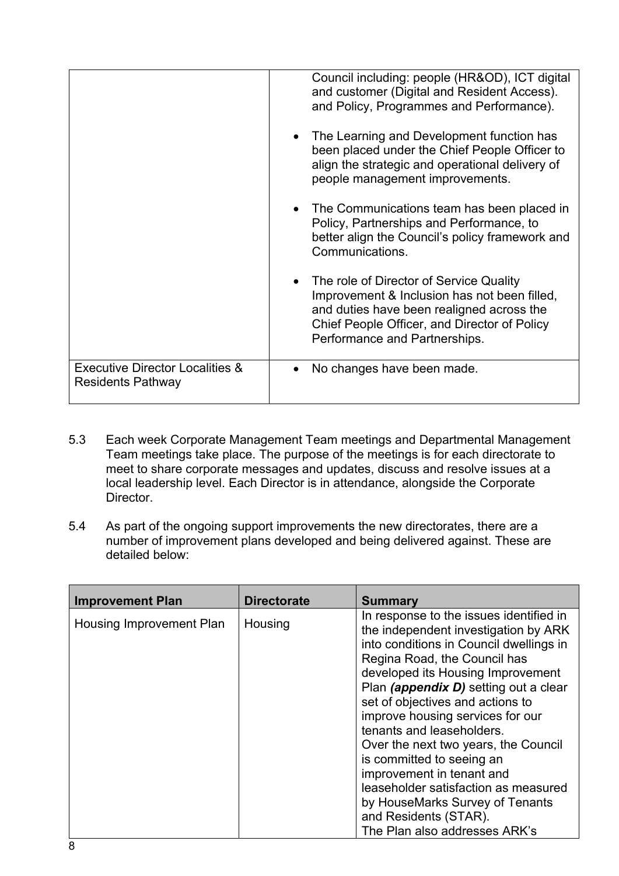|                                                                        | Council including: people (HR&OD), ICT digital<br>and customer (Digital and Resident Access).<br>and Policy, Programmes and Performance).                                                                               |
|------------------------------------------------------------------------|-------------------------------------------------------------------------------------------------------------------------------------------------------------------------------------------------------------------------|
|                                                                        | • The Learning and Development function has<br>been placed under the Chief People Officer to<br>align the strategic and operational delivery of<br>people management improvements.                                      |
|                                                                        | • The Communications team has been placed in<br>Policy, Partnerships and Performance, to<br>better align the Council's policy framework and<br>Communications.                                                          |
|                                                                        | • The role of Director of Service Quality<br>Improvement & Inclusion has not been filled,<br>and duties have been realigned across the<br>Chief People Officer, and Director of Policy<br>Performance and Partnerships. |
| <b>Executive Director Localities &amp;</b><br><b>Residents Pathway</b> | No changes have been made.                                                                                                                                                                                              |

- 5.3 Each week Corporate Management Team meetings and Departmental Management Team meetings take place. The purpose of the meetings is for each directorate to meet to share corporate messages and updates, discuss and resolve issues at a local leadership level. Each Director is in attendance, alongside the Corporate Director.
- 5.4 As part of the ongoing support improvements the new directorates, there are a number of improvement plans developed and being delivered against. These are detailed below:

| <b>Improvement Plan</b>  | <b>Directorate</b> | <b>Summary</b>                                                                                                                                                                                                                                                                                                                                                                                                                                                                                                                                                                       |
|--------------------------|--------------------|--------------------------------------------------------------------------------------------------------------------------------------------------------------------------------------------------------------------------------------------------------------------------------------------------------------------------------------------------------------------------------------------------------------------------------------------------------------------------------------------------------------------------------------------------------------------------------------|
| Housing Improvement Plan | Housing            | In response to the issues identified in<br>the independent investigation by ARK<br>into conditions in Council dwellings in<br>Regina Road, the Council has<br>developed its Housing Improvement<br>Plan (appendix D) setting out a clear<br>set of objectives and actions to<br>improve housing services for our<br>tenants and leaseholders.<br>Over the next two years, the Council<br>is committed to seeing an<br>improvement in tenant and<br>leaseholder satisfaction as measured<br>by HouseMarks Survey of Tenants<br>and Residents (STAR).<br>The Plan also addresses ARK's |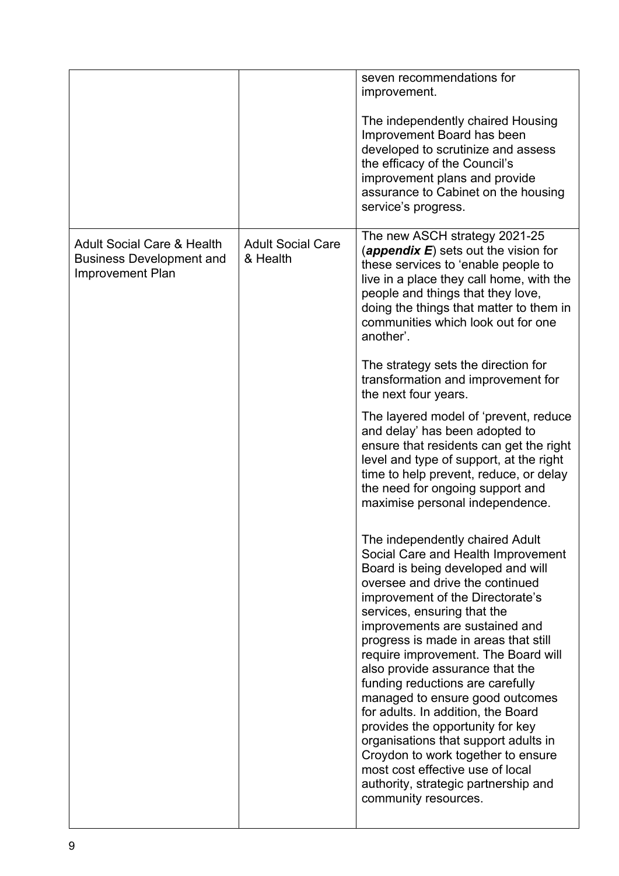|                                                                                                     |                                      | seven recommendations for<br>improvement.<br>The independently chaired Housing<br>Improvement Board has been<br>developed to scrutinize and assess<br>the efficacy of the Council's<br>improvement plans and provide<br>assurance to Cabinet on the housing<br>service's progress.                                                                                                                                                                                                                                                                                                                                                                                                                                                                                                                                                                                                                                                                                                                                                                                                                                                                                         |
|-----------------------------------------------------------------------------------------------------|--------------------------------------|----------------------------------------------------------------------------------------------------------------------------------------------------------------------------------------------------------------------------------------------------------------------------------------------------------------------------------------------------------------------------------------------------------------------------------------------------------------------------------------------------------------------------------------------------------------------------------------------------------------------------------------------------------------------------------------------------------------------------------------------------------------------------------------------------------------------------------------------------------------------------------------------------------------------------------------------------------------------------------------------------------------------------------------------------------------------------------------------------------------------------------------------------------------------------|
| <b>Adult Social Care &amp; Health</b><br><b>Business Development and</b><br><b>Improvement Plan</b> | <b>Adult Social Care</b><br>& Health | The new ASCH strategy 2021-25<br>(appendix $E$ ) sets out the vision for<br>these services to 'enable people to<br>live in a place they call home, with the<br>people and things that they love,<br>doing the things that matter to them in<br>communities which look out for one<br>another'.<br>The strategy sets the direction for<br>transformation and improvement for<br>the next four years.<br>The layered model of 'prevent, reduce<br>and delay' has been adopted to<br>ensure that residents can get the right<br>level and type of support, at the right<br>time to help prevent, reduce, or delay<br>the need for ongoing support and<br>maximise personal independence.<br>The independently chaired Adult<br>Social Care and Health Improvement<br>Board is being developed and will<br>oversee and drive the continued<br>improvement of the Directorate's<br>services, ensuring that the<br>improvements are sustained and<br>progress is made in areas that still<br>require improvement. The Board will<br>also provide assurance that the<br>funding reductions are carefully<br>managed to ensure good outcomes<br>for adults. In addition, the Board |
|                                                                                                     |                                      | provides the opportunity for key<br>organisations that support adults in<br>Croydon to work together to ensure<br>most cost effective use of local<br>authority, strategic partnership and<br>community resources.                                                                                                                                                                                                                                                                                                                                                                                                                                                                                                                                                                                                                                                                                                                                                                                                                                                                                                                                                         |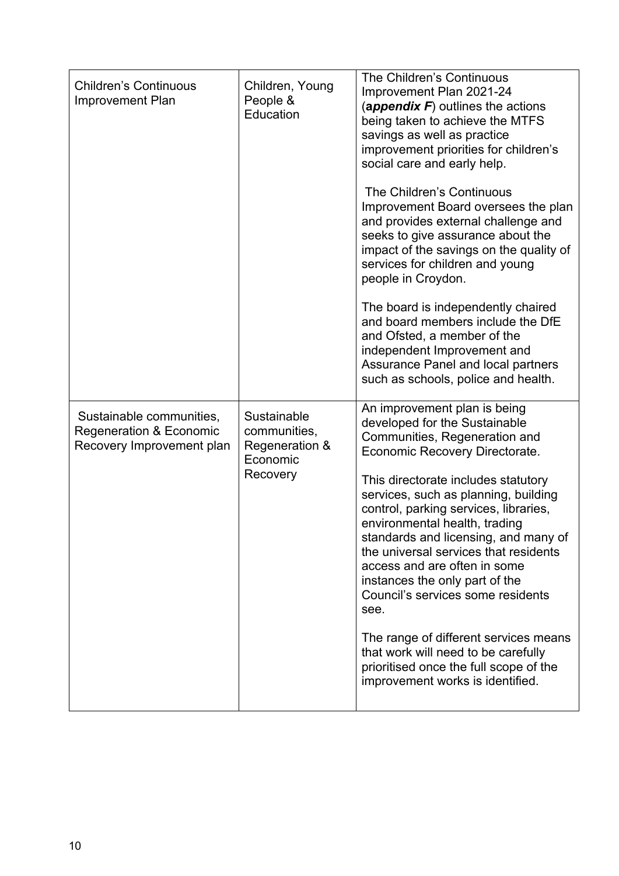| <b>Children's Continuous</b><br><b>Improvement Plan</b>                                     | Children, Young<br>People &<br>Education                              | The Children's Continuous<br>Improvement Plan 2021-24<br>(appendix $F$ ) outlines the actions<br>being taken to achieve the MTFS<br>savings as well as practice<br>improvement priorities for children's<br>social care and early help.<br>The Children's Continuous<br>Improvement Board oversees the plan<br>and provides external challenge and<br>seeks to give assurance about the<br>impact of the savings on the quality of<br>services for children and young<br>people in Croydon.<br>The board is independently chaired<br>and board members include the DfE<br>and Ofsted, a member of the<br>independent Improvement and<br>Assurance Panel and local partners<br>such as schools, police and health. |
|---------------------------------------------------------------------------------------------|-----------------------------------------------------------------------|-------------------------------------------------------------------------------------------------------------------------------------------------------------------------------------------------------------------------------------------------------------------------------------------------------------------------------------------------------------------------------------------------------------------------------------------------------------------------------------------------------------------------------------------------------------------------------------------------------------------------------------------------------------------------------------------------------------------|
| Sustainable communities,<br><b>Regeneration &amp; Economic</b><br>Recovery Improvement plan | Sustainable<br>communities,<br>Regeneration &<br>Economic<br>Recovery | An improvement plan is being<br>developed for the Sustainable<br>Communities, Regeneration and<br>Economic Recovery Directorate.<br>This directorate includes statutory<br>services, such as planning, building<br>control, parking services, libraries,<br>environmental health, trading<br>standards and licensing, and many of<br>the universal services that residents<br>access and are often in some<br>instances the only part of the<br>Council's services some residents<br>see.<br>The range of different services means<br>that work will need to be carefully<br>prioritised once the full scope of the<br>improvement works is identified.                                                           |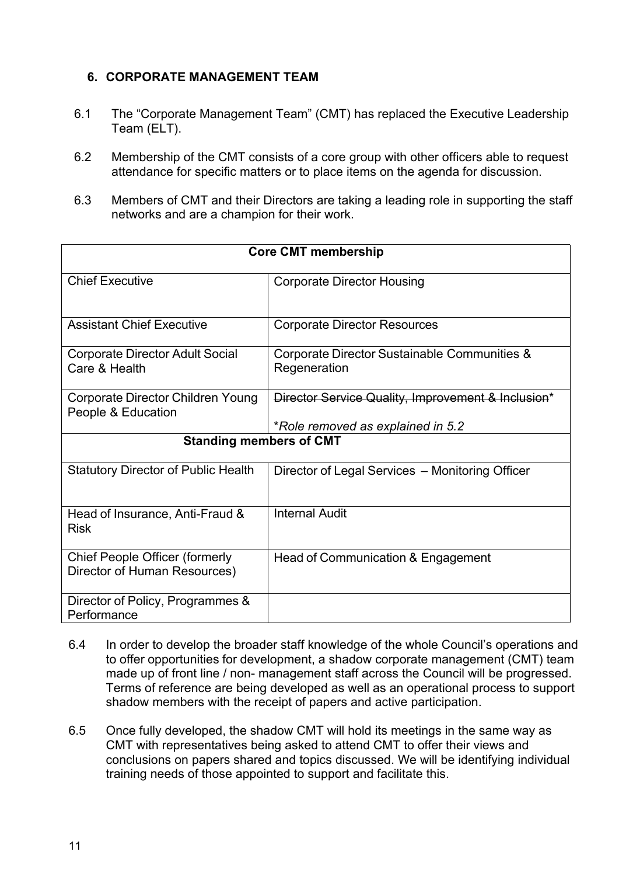### **6. CORPORATE MANAGEMENT TEAM**

- 6.1 The "Corporate Management Team" (CMT) has replaced the Executive Leadership Team (ELT).
- 6.2 Membership of the CMT consists of a core group with other officers able to request attendance for specific matters or to place items on the agenda for discussion.
- 6.3 Members of CMT and their Directors are taking a leading role in supporting the staff networks and are a champion for their work.

| <b>Core CMT membership</b>                                            |                                                                                         |  |
|-----------------------------------------------------------------------|-----------------------------------------------------------------------------------------|--|
| <b>Chief Executive</b>                                                | <b>Corporate Director Housing</b>                                                       |  |
| <b>Assistant Chief Executive</b>                                      | <b>Corporate Director Resources</b>                                                     |  |
| <b>Corporate Director Adult Social</b><br>Care & Health               | Corporate Director Sustainable Communities &<br>Regeneration                            |  |
| Corporate Director Children Young<br>People & Education               | Director Service Quality, Improvement & Inclusion*<br>*Role removed as explained in 5.2 |  |
| <b>Standing members of CMT</b>                                        |                                                                                         |  |
| <b>Statutory Director of Public Health</b>                            | Director of Legal Services - Monitoring Officer                                         |  |
| Head of Insurance, Anti-Fraud &<br><b>Risk</b>                        | <b>Internal Audit</b>                                                                   |  |
| <b>Chief People Officer (formerly</b><br>Director of Human Resources) | Head of Communication & Engagement                                                      |  |
| Director of Policy, Programmes &<br>Performance                       |                                                                                         |  |

- 6.4 In order to develop the broader staff knowledge of the whole Council's operations and to offer opportunities for development, a shadow corporate management (CMT) team made up of front line / non- management staff across the Council will be progressed. Terms of reference are being developed as well as an operational process to support shadow members with the receipt of papers and active participation.
- 6.5 Once fully developed, the shadow CMT will hold its meetings in the same way as CMT with representatives being asked to attend CMT to offer their views and conclusions on papers shared and topics discussed. We will be identifying individual training needs of those appointed to support and facilitate this.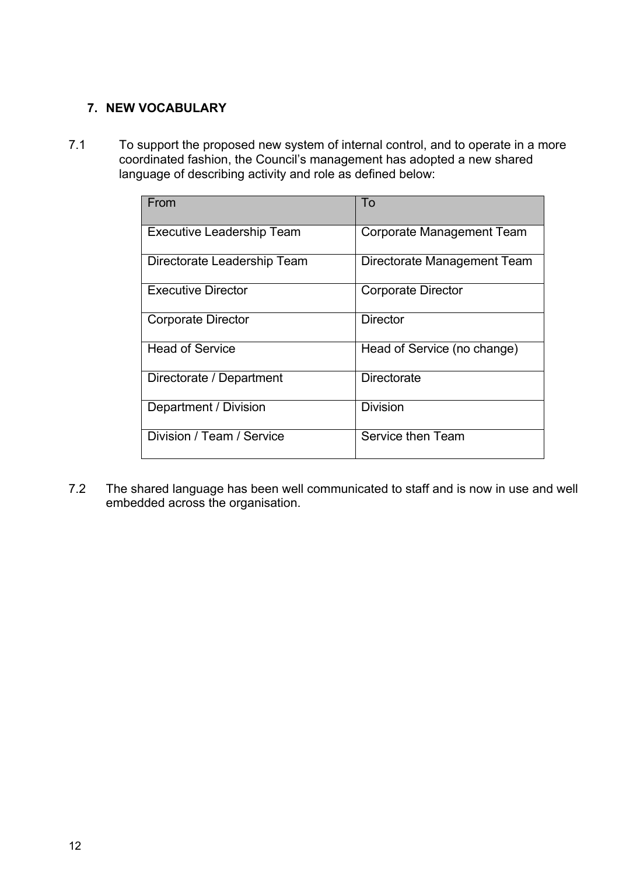# **7. NEW VOCABULARY**

7.1 To support the proposed new system of internal control, and to operate in a more coordinated fashion, the Council's management has adopted a new shared language of describing activity and role as defined below:

| From                             | To                          |
|----------------------------------|-----------------------------|
|                                  |                             |
| <b>Executive Leadership Team</b> | Corporate Management Team   |
| Directorate Leadership Team      | Directorate Management Team |
| <b>Executive Director</b>        | <b>Corporate Director</b>   |
| <b>Corporate Director</b>        | Director                    |
| <b>Head of Service</b>           | Head of Service (no change) |
| Directorate / Department         | Directorate                 |
| Department / Division            | <b>Division</b>             |
| Division / Team / Service        | Service then Team           |

7.2 The shared language has been well communicated to staff and is now in use and well embedded across the organisation.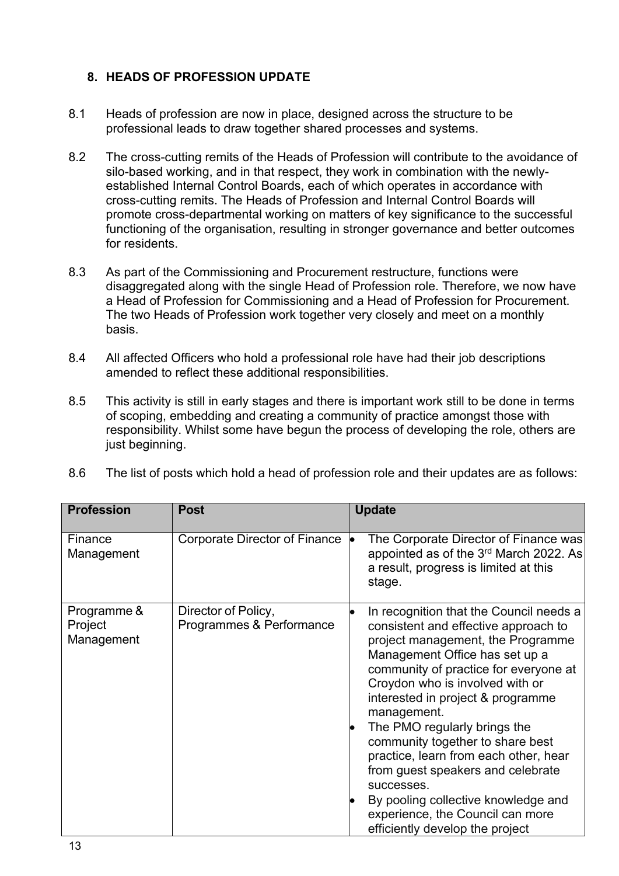# **8. HEADS OF PROFESSION UPDATE**

- 8.1 Heads of profession are now in place, designed across the structure to be professional leads to draw together shared processes and systems.
- 8.2 The cross-cutting remits of the Heads of Profession will contribute to the avoidance of silo-based working, and in that respect, they work in combination with the newlyestablished Internal Control Boards, each of which operates in accordance with cross-cutting remits. The Heads of Profession and Internal Control Boards will promote cross-departmental working on matters of key significance to the successful functioning of the organisation, resulting in stronger governance and better outcomes for residents.
- 8.3 As part of the Commissioning and Procurement restructure, functions were disaggregated along with the single Head of Profession role. Therefore, we now have a Head of Profession for Commissioning and a Head of Profession for Procurement. The two Heads of Profession work together very closely and meet on a monthly basis.
- 8.4 All affected Officers who hold a professional role have had their job descriptions amended to reflect these additional responsibilities.
- 8.5 This activity is still in early stages and there is important work still to be done in terms of scoping, embedding and creating a community of practice amongst those with responsibility. Whilst some have begun the process of developing the role, others are just beginning.
- 8.6 The list of posts which hold a head of profession role and their updates are as follows:

| <b>Profession</b>                    | <b>Post</b>                                     | <b>Update</b>                                                                                                                                                                                                                                                                                                                                                                                                                                                                                                                                                                     |
|--------------------------------------|-------------------------------------------------|-----------------------------------------------------------------------------------------------------------------------------------------------------------------------------------------------------------------------------------------------------------------------------------------------------------------------------------------------------------------------------------------------------------------------------------------------------------------------------------------------------------------------------------------------------------------------------------|
| Finance<br>Management                | Corporate Director of Finance                   | The Corporate Director of Finance was<br> e<br>appointed as of the 3 <sup>rd</sup> March 2022. As<br>a result, progress is limited at this<br>stage.                                                                                                                                                                                                                                                                                                                                                                                                                              |
| Programme &<br>Project<br>Management | Director of Policy,<br>Programmes & Performance | In recognition that the Council needs a<br>consistent and effective approach to<br>project management, the Programme<br>Management Office has set up a<br>community of practice for everyone at<br>Croydon who is involved with or<br>interested in project & programme<br>management.<br>The PMO regularly brings the<br>$\bullet$<br>community together to share best<br>practice, learn from each other, hear<br>from guest speakers and celebrate<br>successes.<br>By pooling collective knowledge and<br>experience, the Council can more<br>efficiently develop the project |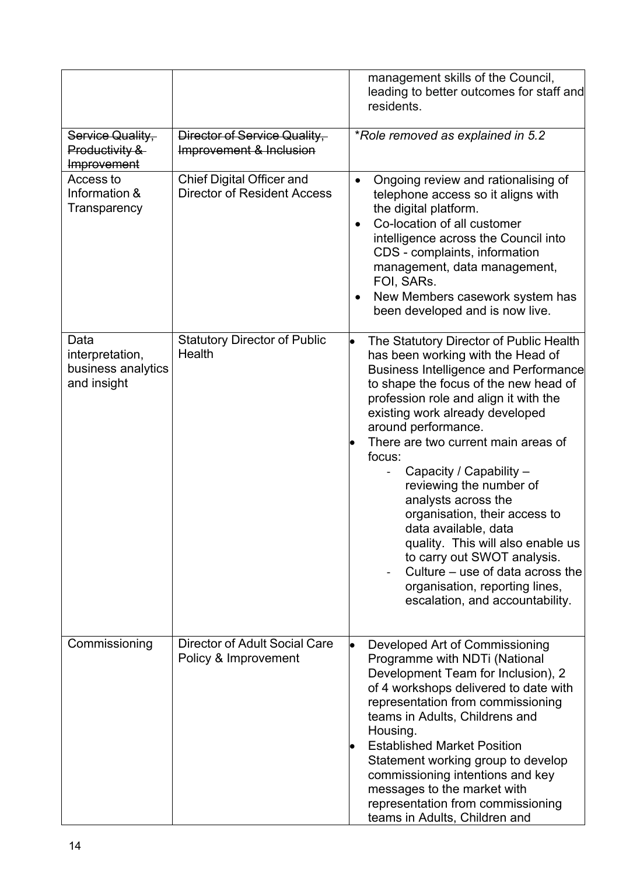|                                                              |                                                                        | management skills of the Council,<br>leading to better outcomes for staff and<br>residents.                                                                                                                                                                                                                                                                                                                                                                                                                                                                                                                                                  |
|--------------------------------------------------------------|------------------------------------------------------------------------|----------------------------------------------------------------------------------------------------------------------------------------------------------------------------------------------------------------------------------------------------------------------------------------------------------------------------------------------------------------------------------------------------------------------------------------------------------------------------------------------------------------------------------------------------------------------------------------------------------------------------------------------|
| Service Quality,<br>Productivity &<br>Improvement            | Director of Service Quality,<br>Improvement & Inclusion                | *Role removed as explained in 5.2                                                                                                                                                                                                                                                                                                                                                                                                                                                                                                                                                                                                            |
| Access to<br>Information &<br>Transparency                   | <b>Chief Digital Officer and</b><br><b>Director of Resident Access</b> | Ongoing review and rationalising of<br>$\bullet$<br>telephone access so it aligns with<br>the digital platform.<br>Co-location of all customer<br>$\bullet$<br>intelligence across the Council into<br>CDS - complaints, information<br>management, data management,<br>FOI, SARs.<br>New Members casework system has<br>been developed and is now live.                                                                                                                                                                                                                                                                                     |
| Data<br>interpretation,<br>business analytics<br>and insight | <b>Statutory Director of Public</b><br>Health                          | The Statutory Director of Public Health<br>has been working with the Head of<br><b>Business Intelligence and Performance</b><br>to shape the focus of the new head of<br>profession role and align it with the<br>existing work already developed<br>around performance.<br>There are two current main areas of<br>focus:<br>Capacity / Capability -<br>reviewing the number of<br>analysts across the<br>organisation, their access to<br>data available, data<br>quality. This will also enable us<br>to carry out SWOT analysis.<br>Culture – use of data across the<br>organisation, reporting lines,<br>escalation, and accountability. |
| Commissioning                                                | <b>Director of Adult Social Care</b><br>Policy & Improvement           | Developed Art of Commissioning<br>Programme with NDTi (National<br>Development Team for Inclusion), 2<br>of 4 workshops delivered to date with<br>representation from commissioning<br>teams in Adults, Childrens and<br>Housing.<br><b>Established Market Position</b><br>Statement working group to develop<br>commissioning intentions and key<br>messages to the market with<br>representation from commissioning<br>teams in Adults, Children and                                                                                                                                                                                       |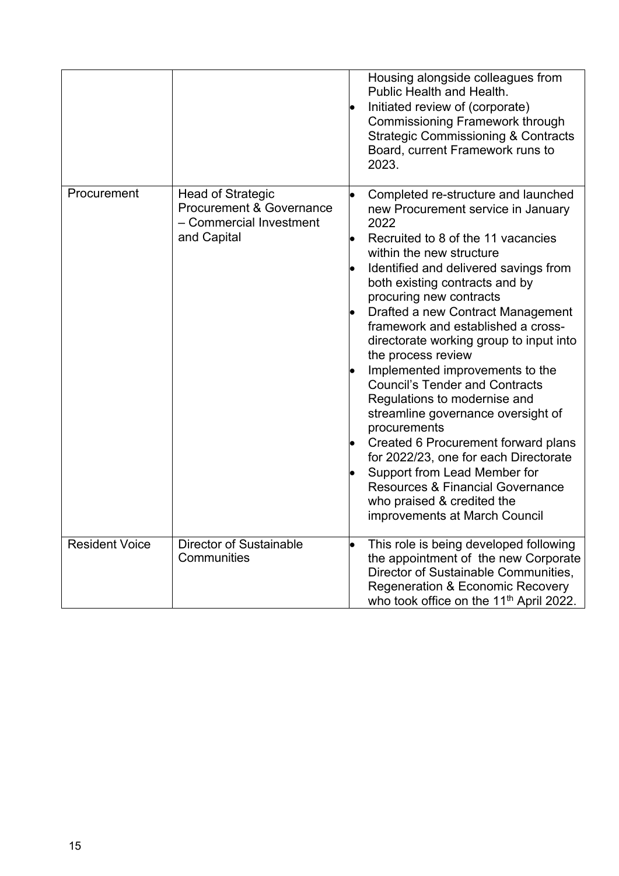|                       |                                                                                                           | Housing alongside colleagues from<br>Public Health and Health.<br>Initiated review of (corporate)<br><b>Commissioning Framework through</b><br><b>Strategic Commissioning &amp; Contracts</b><br>Board, current Framework runs to<br>2023.                                                                                                                                                                                                                                                                                                                                                                                                                                                                                                                                                            |
|-----------------------|-----------------------------------------------------------------------------------------------------------|-------------------------------------------------------------------------------------------------------------------------------------------------------------------------------------------------------------------------------------------------------------------------------------------------------------------------------------------------------------------------------------------------------------------------------------------------------------------------------------------------------------------------------------------------------------------------------------------------------------------------------------------------------------------------------------------------------------------------------------------------------------------------------------------------------|
| Procurement           | <b>Head of Strategic</b><br><b>Procurement &amp; Governance</b><br>- Commercial Investment<br>and Capital | Completed re-structure and launched<br>new Procurement service in January<br>2022<br>Recruited to 8 of the 11 vacancies<br>within the new structure<br>Identified and delivered savings from<br>both existing contracts and by<br>procuring new contracts<br>Drafted a new Contract Management<br>framework and established a cross-<br>directorate working group to input into<br>the process review<br>Implemented improvements to the<br><b>Council's Tender and Contracts</b><br>Regulations to modernise and<br>streamline governance oversight of<br>procurements<br>Created 6 Procurement forward plans<br>for 2022/23, one for each Directorate<br>Support from Lead Member for<br><b>Resources &amp; Financial Governance</b><br>who praised & credited the<br>improvements at March Council |
| <b>Resident Voice</b> | <b>Director of Sustainable</b><br>Communities                                                             | This role is being developed following<br>the appointment of the new Corporate<br>Director of Sustainable Communities,<br><b>Regeneration &amp; Economic Recovery</b><br>who took office on the 11 <sup>th</sup> April 2022.                                                                                                                                                                                                                                                                                                                                                                                                                                                                                                                                                                          |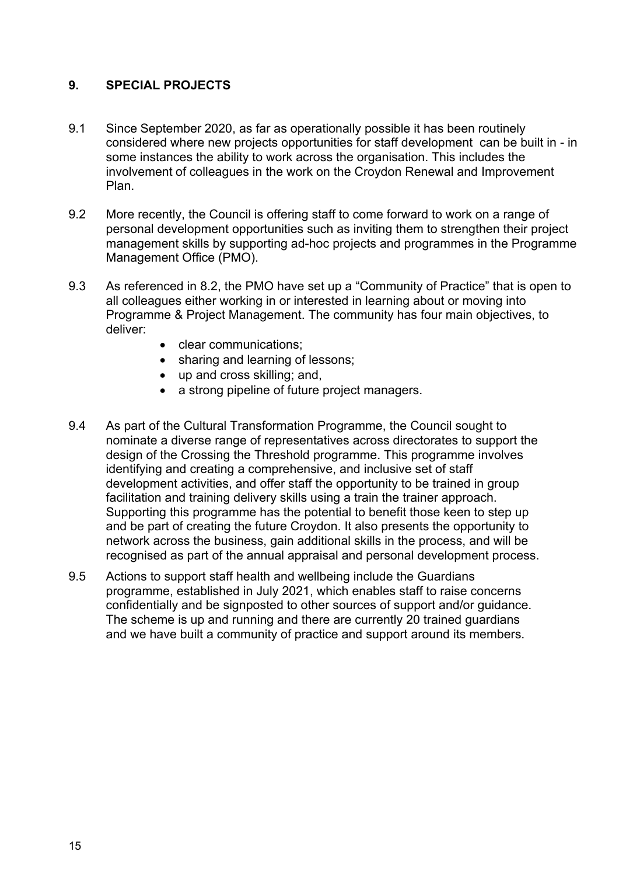# **9. SPECIAL PROJECTS**

- 9.1 Since September 2020, as far as operationally possible it has been routinely considered where new projects opportunities for staff development can be built in - in some instances the ability to work across the organisation. This includes the involvement of colleagues in the work on the Croydon Renewal and Improvement Plan.
- 9.2 More recently, the Council is offering staff to come forward to work on a range of personal development opportunities such as inviting them to strengthen their project management skills by supporting ad-hoc projects and programmes in the Programme Management Office (PMO).
- 9.3 As referenced in 8.2, the PMO have set up a "Community of Practice" that is open to all colleagues either working in or interested in learning about or moving into Programme & Project Management. The community has four main objectives, to deliver:
	- clear communications:
	- sharing and learning of lessons;
	- up and cross skilling; and,
	- a strong pipeline of future project managers.
- 9.4 As part of the Cultural Transformation Programme, the Council sought to nominate a diverse range of representatives across directorates to support the design of the Crossing the Threshold programme. This programme involves identifying and creating a comprehensive, and inclusive set of staff development activities, and offer staff the opportunity to be trained in group facilitation and training delivery skills using a train the trainer approach. Supporting this programme has the potential to benefit those keen to step up and be part of creating the future Croydon. It also presents the opportunity to network across the business, gain additional skills in the process, and will be recognised as part of the annual appraisal and personal development process.
- 9.5 Actions to support staff health and wellbeing include the Guardians programme, established in July 2021, which enables staff to raise concerns confidentially and be signposted to other sources of support and/or guidance. The scheme is up and running and there are currently 20 trained guardians and we have built a community of practice and support around its members.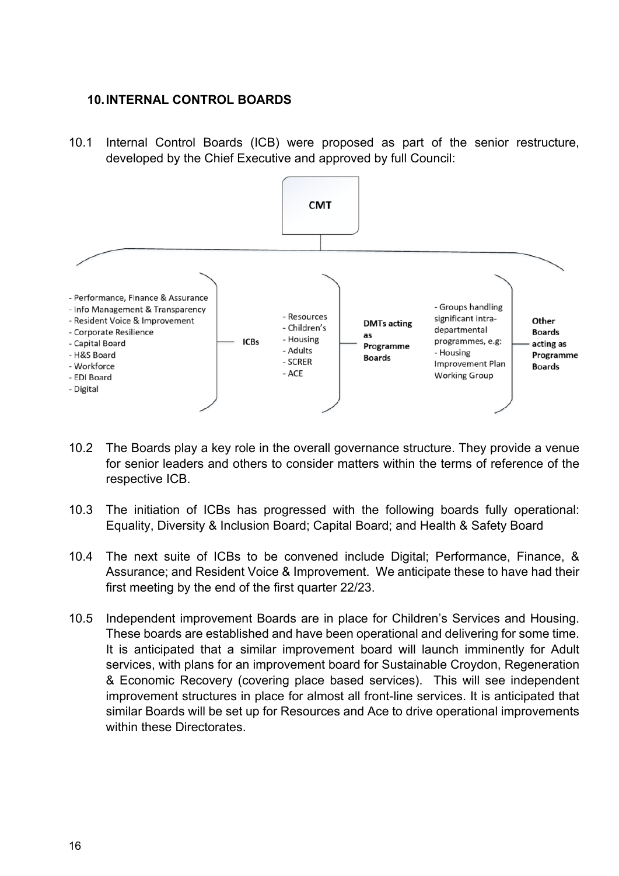#### **10.INTERNAL CONTROL BOARDS**

10.1 Internal Control Boards (ICB) were proposed as part of the senior restructure, developed by the Chief Executive and approved by full Council:



- 10.2 The Boards play a key role in the overall governance structure. They provide a venue for senior leaders and others to consider matters within the terms of reference of the respective ICB.
- 10.3 The initiation of ICBs has progressed with the following boards fully operational: Equality, Diversity & Inclusion Board; Capital Board; and Health & Safety Board
- 10.4 The next suite of ICBs to be convened include Digital; Performance, Finance, & Assurance; and Resident Voice & Improvement. We anticipate these to have had their first meeting by the end of the first quarter 22/23.
- 10.5 Independent improvement Boards are in place for Children's Services and Housing. These boards are established and have been operational and delivering for some time. It is anticipated that a similar improvement board will launch imminently for Adult services, with plans for an improvement board for Sustainable Croydon, Regeneration & Economic Recovery (covering place based services). This will see independent improvement structures in place for almost all front-line services. It is anticipated that similar Boards will be set up for Resources and Ace to drive operational improvements within these Directorates.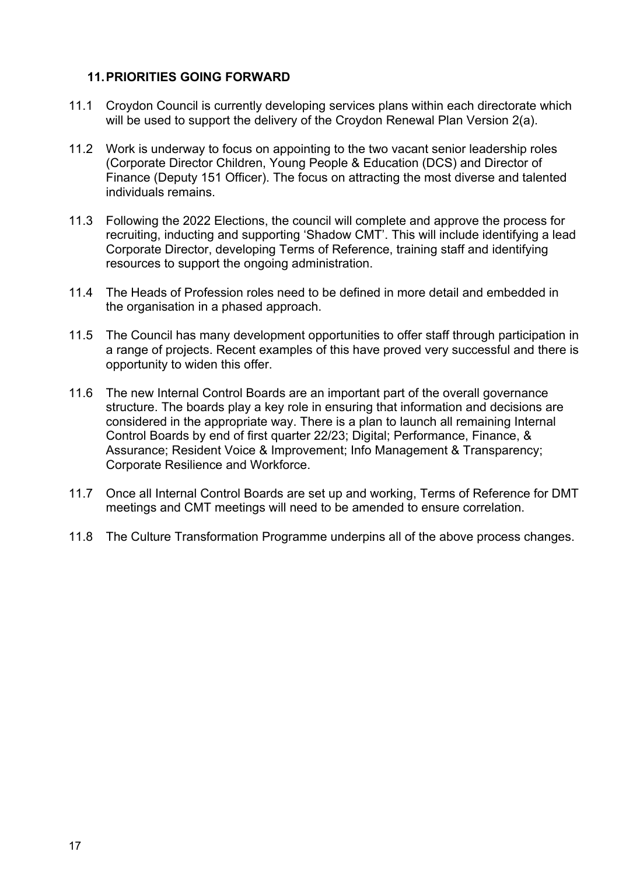### **11.PRIORITIES GOING FORWARD**

- 11.1 Croydon Council is currently developing services plans within each directorate which will be used to support the delivery of the Croydon Renewal Plan Version 2(a).
- 11.2 Work is underway to focus on appointing to the two vacant senior leadership roles (Corporate Director Children, Young People & Education (DCS) and Director of Finance (Deputy 151 Officer). The focus on attracting the most diverse and talented individuals remains.
- 11.3 Following the 2022 Elections, the council will complete and approve the process for recruiting, inducting and supporting 'Shadow CMT'. This will include identifying a lead Corporate Director, developing Terms of Reference, training staff and identifying resources to support the ongoing administration.
- 11.4 The Heads of Profession roles need to be defined in more detail and embedded in the organisation in a phased approach.
- 11.5 The Council has many development opportunities to offer staff through participation in a range of projects. Recent examples of this have proved very successful and there is opportunity to widen this offer.
- 11.6 The new Internal Control Boards are an important part of the overall governance structure. The boards play a key role in ensuring that information and decisions are considered in the appropriate way. There is a plan to launch all remaining Internal Control Boards by end of first quarter 22/23; Digital; Performance, Finance, & Assurance; Resident Voice & Improvement; Info Management & Transparency; Corporate Resilience and Workforce.
- 11.7 Once all Internal Control Boards are set up and working, Terms of Reference for DMT meetings and CMT meetings will need to be amended to ensure correlation.
- 11.8 The Culture Transformation Programme underpins all of the above process changes.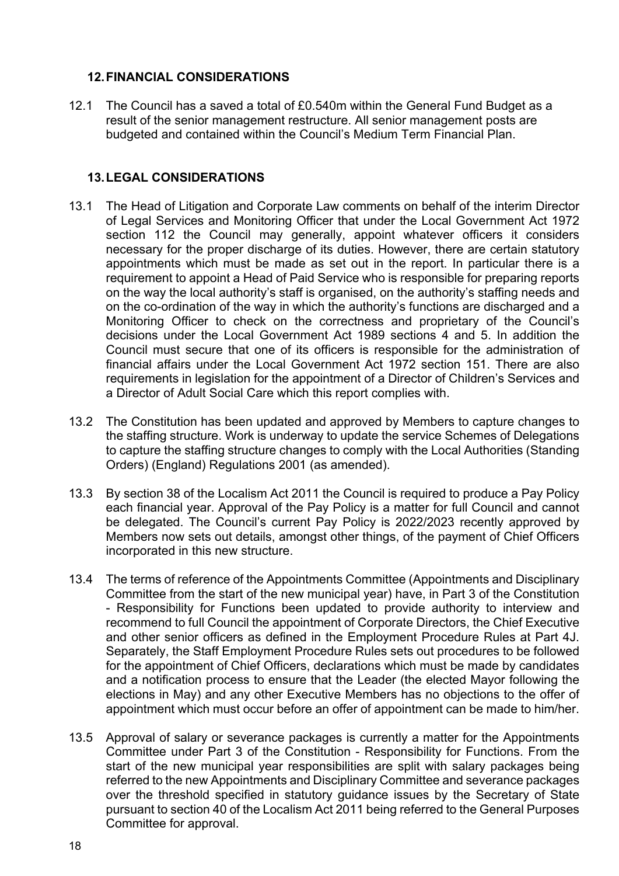### **12.FINANCIAL CONSIDERATIONS**

12.1 The Council has a saved a total of £0.540m within the General Fund Budget as a result of the senior management restructure. All senior management posts are budgeted and contained within the Council's Medium Term Financial Plan.

# **13.LEGAL CONSIDERATIONS**

- 13.1 The Head of Litigation and Corporate Law comments on behalf of the interim Director of Legal Services and Monitoring Officer that under the Local Government Act 1972 section 112 the Council may generally, appoint whatever officers it considers necessary for the proper discharge of its duties. However, there are certain statutory appointments which must be made as set out in the report. In particular there is a requirement to appoint a Head of Paid Service who is responsible for preparing reports on the way the local authority's staff is organised, on the authority's staffing needs and on the co-ordination of the way in which the authority's functions are discharged and a Monitoring Officer to check on the correctness and proprietary of the Council's decisions under the Local Government Act 1989 sections 4 and 5. In addition the Council must secure that one of its officers is responsible for the administration of financial affairs under the Local Government Act 1972 section 151. There are also requirements in legislation for the appointment of a Director of Children's Services and a Director of Adult Social Care which this report complies with.
- 13.2 The Constitution has been updated and approved by Members to capture changes to the staffing structure. Work is underway to update the service Schemes of Delegations to capture the staffing structure changes to comply with the Local Authorities (Standing Orders) (England) Regulations 2001 (as amended).
- 13.3 By section 38 of the Localism Act 2011 the Council is required to produce a Pay Policy each financial year. Approval of the Pay Policy is a matter for full Council and cannot be delegated. The Council's current Pay Policy is 2022/2023 recently approved by Members now sets out details, amongst other things, of the payment of Chief Officers incorporated in this new structure.
- 13.4 The terms of reference of the Appointments Committee (Appointments and Disciplinary Committee from the start of the new municipal year) have, in Part 3 of the Constitution - Responsibility for Functions been updated to provide authority to interview and recommend to full Council the appointment of Corporate Directors, the Chief Executive and other senior officers as defined in the Employment Procedure Rules at Part 4J. Separately, the Staff Employment Procedure Rules sets out procedures to be followed for the appointment of Chief Officers, declarations which must be made by candidates and a notification process to ensure that the Leader (the elected Mayor following the elections in May) and any other Executive Members has no objections to the offer of appointment which must occur before an offer of appointment can be made to him/her.
- 13.5 Approval of salary or severance packages is currently a matter for the Appointments Committee under Part 3 of the Constitution - Responsibility for Functions. From the start of the new municipal year responsibilities are split with salary packages being referred to the new Appointments and Disciplinary Committee and severance packages over the threshold specified in statutory guidance issues by the Secretary of State pursuant to section 40 of the Localism Act 2011 being referred to the General Purposes Committee for approval.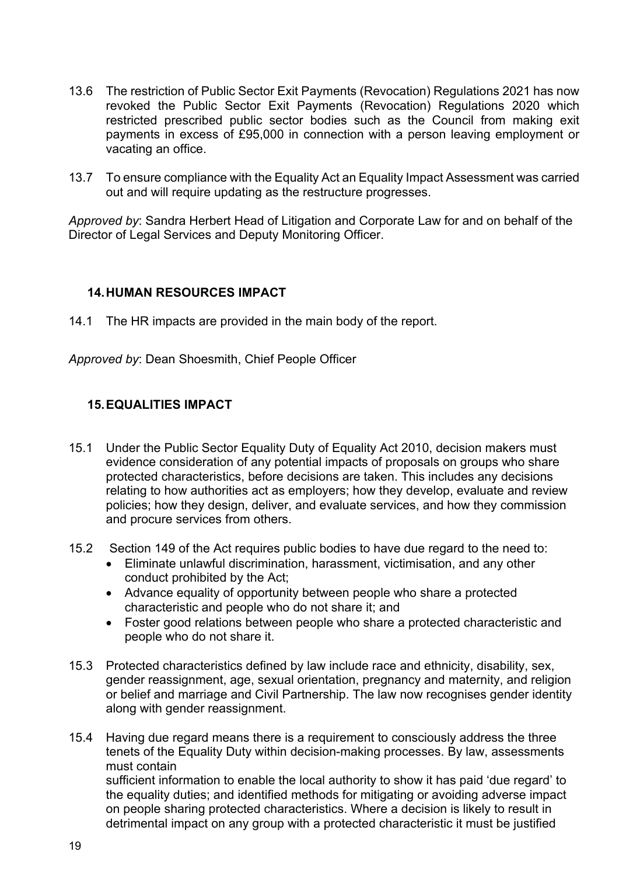- 13.6 The restriction of Public Sector Exit Payments (Revocation) Regulations 2021 has now revoked the Public Sector Exit Payments (Revocation) Regulations 2020 which restricted prescribed public sector bodies such as the Council from making exit payments in excess of £95,000 in connection with a person leaving employment or vacating an office.
- 13.7 To ensure compliance with the Equality Act an Equality Impact Assessment was carried out and will require updating as the restructure progresses.

*Approved by*: Sandra Herbert Head of Litigation and Corporate Law for and on behalf of the Director of Legal Services and Deputy Monitoring Officer.

### **14.HUMAN RESOURCES IMPACT**

14.1 The HR impacts are provided in the main body of the report.

*Approved by*: Dean Shoesmith, Chief People Officer

### **15.EQUALITIES IMPACT**

- 15.1 Under the Public Sector Equality Duty of Equality Act 2010, decision makers must evidence consideration of any potential impacts of proposals on groups who share protected characteristics, before decisions are taken. This includes any decisions relating to how authorities act as employers; how they develop, evaluate and review policies; how they design, deliver, and evaluate services, and how they commission and procure services from others.
- 15.2 Section 149 of the Act requires public bodies to have due regard to the need to:
	- Eliminate unlawful discrimination, harassment, victimisation, and any other conduct prohibited by the Act;
	- Advance equality of opportunity between people who share a protected characteristic and people who do not share it; and
	- Foster good relations between people who share a protected characteristic and people who do not share it.
- 15.3 Protected characteristics defined by law include race and ethnicity, disability, sex, gender reassignment, age, sexual orientation, pregnancy and maternity, and religion or belief and marriage and Civil Partnership. The law now recognises gender identity along with gender reassignment.
- 15.4 Having due regard means there is a requirement to consciously address the three tenets of the Equality Duty within decision-making processes. By law, assessments must contain sufficient information to enable the local authority to show it has paid 'due regard' to the equality duties; and identified methods for mitigating or avoiding adverse impact on people sharing protected characteristics. Where a decision is likely to result in detrimental impact on any group with a protected characteristic it must be justified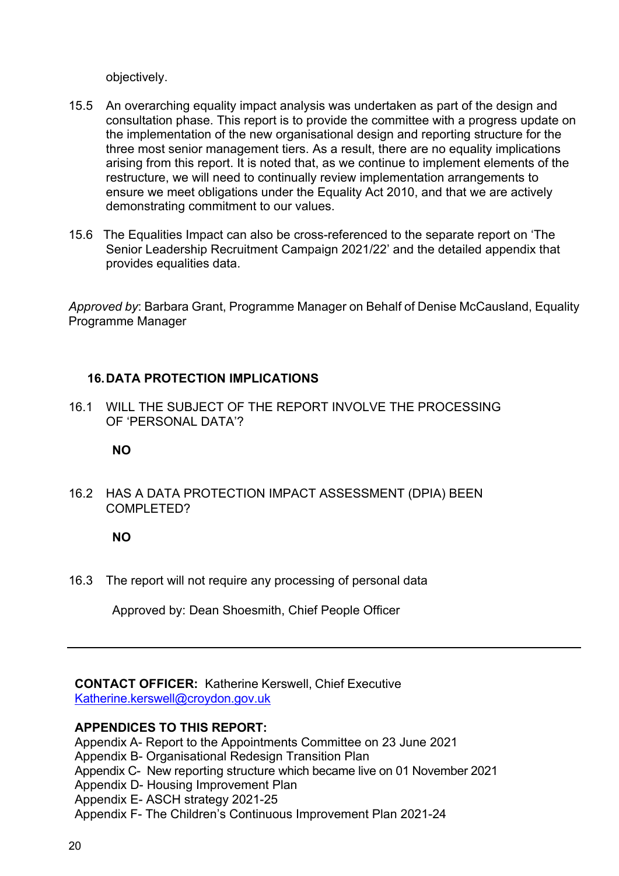objectively.

- 15.5 An overarching equality impact analysis was undertaken as part of the design and consultation phase. This report is to provide the committee with a progress update on the implementation of the new organisational design and reporting structure for the three most senior management tiers. As a result, there are no equality implications arising from this report. It is noted that, as we continue to implement elements of the restructure, we will need to continually review implementation arrangements to ensure we meet obligations under the Equality Act 2010, and that we are actively demonstrating commitment to our values.
- 15.6 The Equalities Impact can also be cross-referenced to the separate report on 'The Senior Leadership Recruitment Campaign 2021/22' and the detailed appendix that provides equalities data.

*Approved by*: Barbara Grant, Programme Manager on Behalf of Denise McCausland, Equality Programme Manager

# **16.DATA PROTECTION IMPLICATIONS**

16.1 WILL THE SUBJECT OF THE REPORT INVOLVE THE PROCESSING OF 'PERSONAL DATA'?

### **NO**

16.2 HAS A DATA PROTECTION IMPACT ASSESSMENT (DPIA) BEEN COMPI FTFD?

### **NO**

16.3 The report will not require any processing of personal data

Approved by: Dean Shoesmith, Chief People Officer

**CONTACT OFFICER:** Katherine Kerswell, Chief Executive [Katherine.kerswell@croydon.gov.uk](mailto:Katherine.kerswell@croydon.gov.uk)

#### **APPENDICES TO THIS REPORT:**

Appendix A- Report to the Appointments Committee on 23 June 2021 Appendix B- Organisational Redesign Transition Plan Appendix C- New reporting structure which became live on 01 November 2021 Appendix D- Housing Improvement Plan Appendix E- ASCH strategy 2021-25 Appendix F- The Children's Continuous Improvement Plan 2021-24